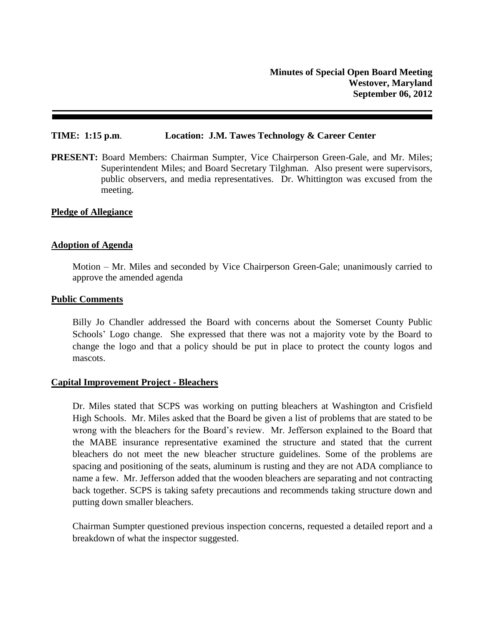### **TIME: 1:15 p.m**. **Location: J.M. Tawes Technology & Career Center**

**PRESENT:** Board Members: Chairman Sumpter, Vice Chairperson Green-Gale, and Mr. Miles; Superintendent Miles; and Board Secretary Tilghman. Also present were supervisors, public observers, and media representatives. Dr. Whittington was excused from the meeting.

### **Pledge of Allegiance**

## **Adoption of Agenda**

Motion – Mr. Miles and seconded by Vice Chairperson Green-Gale; unanimously carried to approve the amended agenda

### **Public Comments**

Billy Jo Chandler addressed the Board with concerns about the Somerset County Public Schools' Logo change. She expressed that there was not a majority vote by the Board to change the logo and that a policy should be put in place to protect the county logos and mascots.

### **Capital Improvement Project - Bleachers**

Dr. Miles stated that SCPS was working on putting bleachers at Washington and Crisfield High Schools. Mr. Miles asked that the Board be given a list of problems that are stated to be wrong with the bleachers for the Board's review. Mr. Jefferson explained to the Board that the MABE insurance representative examined the structure and stated that the current bleachers do not meet the new bleacher structure guidelines. Some of the problems are spacing and positioning of the seats, aluminum is rusting and they are not ADA compliance to name a few. Mr. Jefferson added that the wooden bleachers are separating and not contracting back together. SCPS is taking safety precautions and recommends taking structure down and putting down smaller bleachers.

Chairman Sumpter questioned previous inspection concerns, requested a detailed report and a breakdown of what the inspector suggested.